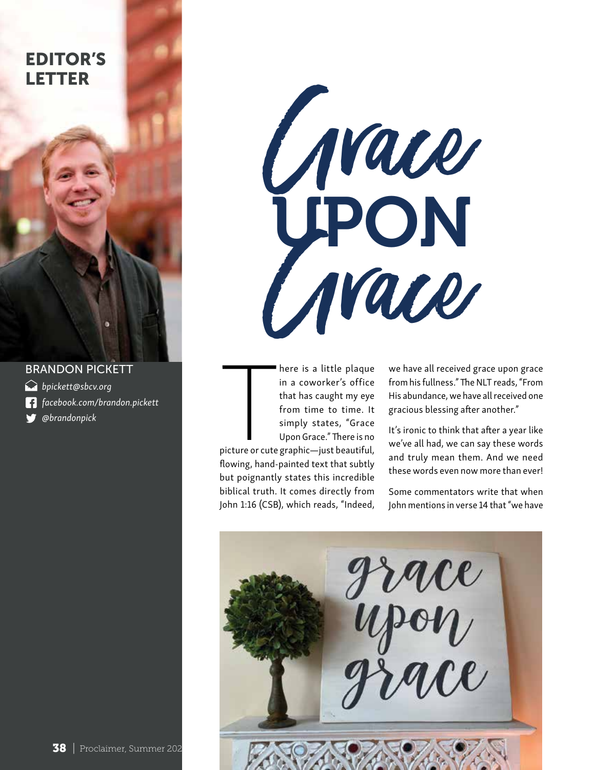



- *bpickett@sbcv.org*
- *facebook.com/brandon.pickett*  l fl
- *@brandonpick*



The contract of the contract of the contract of the contract of the contract of the contract of the contract of the contract of the contract of the contract of the contract of the contract of the contract of the contract o here is a little plaque in a coworker's office that has caught my eye from time to time. It simply states, "Grace Upon Grace." There is no picture or cute graphic—just beautiful, flowing, hand-painted text that subtly

but poignantly states this incredible biblical truth. It comes directly from John 1:16 (CSB), which reads, "Indeed, we have all received grace upon grace from his fullness." The NLT reads, "From His abundance, we have all received one gracious blessing after another."

It's ironic to think that after a year like we've all had, we can say these words and truly mean them. And we need these words even now more than ever!

Some commentators write that when John mentions in verse 14 that "we have